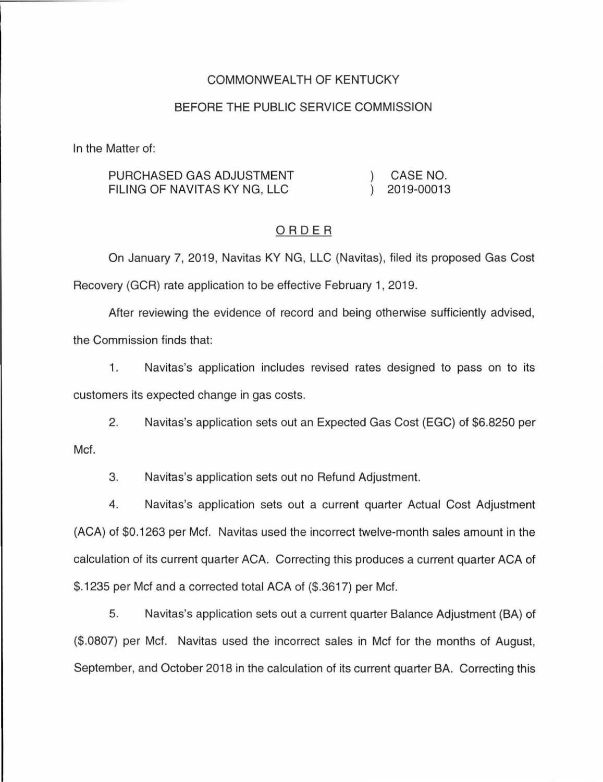## COMMONWEALTH OF KENTUCKY

## BEFORE THE PUBLIC SERVICE COMMISSION

In the Matter of:

| PURCHASED GAS ADJUSTMENT     | CASE NO.   |
|------------------------------|------------|
| FILING OF NAVITAS KY NG, LLC | 2019-00013 |

#### ORDER

On January 7, 2019, Navitas KY NG, LLC (Navitas), filed its proposed Gas Cost Recovery (GCR) rate application to be effective February 1, 2019.

After reviewing the evidence of record and being otherwise sufficiently advised, the Commission finds that:

1. Navitas's application includes revised rates designed to pass on to its customers its expected change in gas costs.

2. Navitas's application sets out an Expected Gas Cost (EGC) of \$6.8250 per Mcf.

3. Navitas's application sets out no Refund Adjustment.

4. Navitas's application sets out a current quarter Actual Cost Adjustment (ACA) of \$0.1263 per Mcf. Navitas used the incorrect twelve-month sales amount in the calculation of its current quarter ACA. Correcting this produces a current quarter ACA of \$.1235 per Mcf and a corrected total ACA of (\$.3617) per Mcf.

5. Navitas's application sets out a current quarter Balance Adjustment (BA} of (\$.0807) per Mcf. Navitas used the incorrect sales in Mcf for the months of August, September, and October 2018 in the calculation of its current quarter BA. Correcting this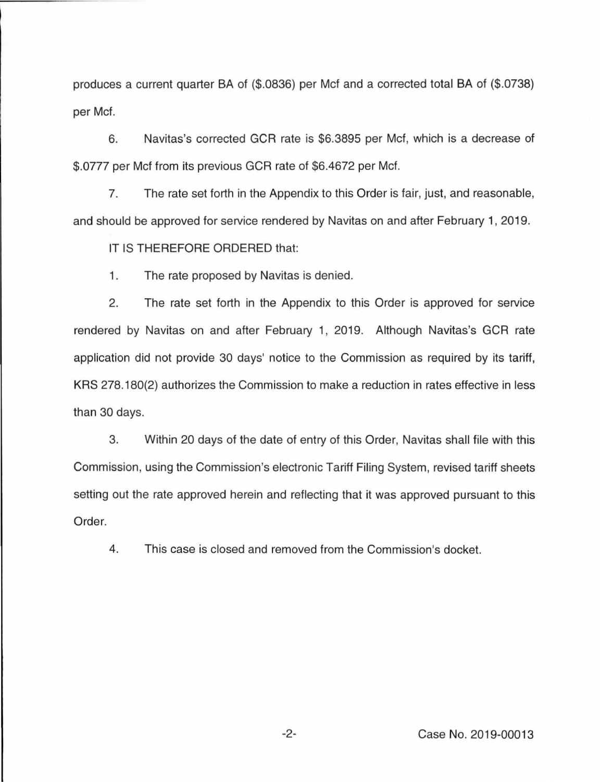produces a current quarter BA of (\$.0836) per Mcf and a corrected total BA of (\$.0738) per Mcf.

6. Navitas's corrected GCR rate is \$6.3895 per Mcf, which is a decrease of \$.0777 per Mcf from its previous GCR rate of \$6.4672 per Mcf.

7. The rate set forth in the Appendix to this Order is fair, just, and reasonable, and should be approved for service rendered by Navitas on and after February 1, 2019.

IT IS THEREFORE ORDERED that:

1. The rate proposed by Navitas is denied.

2. The rate set forth in the Appendix to this Order is approved for service rendered by Navitas on and after February 1, 2019. Although Navitas's GCR rate application did not provide 30 days' notice to the Commission as required by its tariff, KRS 278.180(2) authorizes the Commission to make a reduction in rates effective in less than 30 days.

3. Within 20 days of the date of entry of this Order, Navitas shall file with this Commission, using the Commission's electronic Tariff Filing System, revised tariff sheets setting out the rate approved herein and reflecting that it was approved pursuant to this Order.

4. This case is closed and removed from the Commission's docket.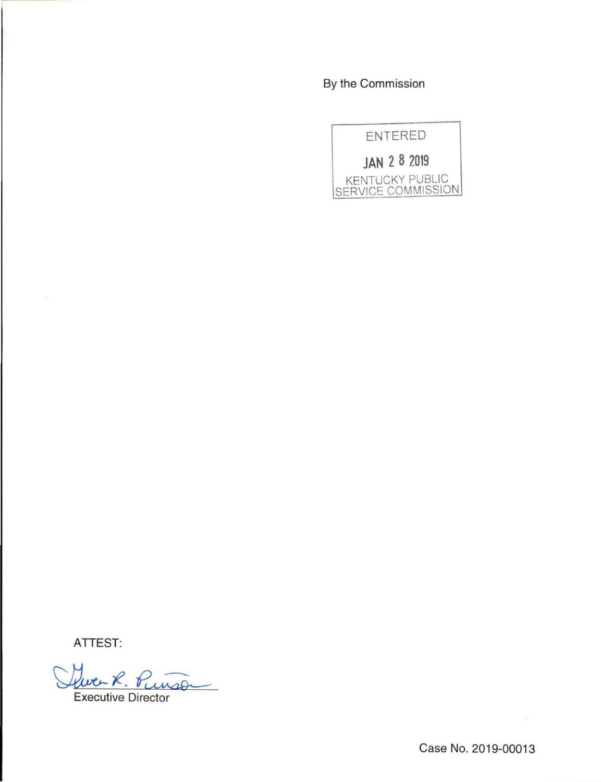By the Commission



ATTEST:

Que R. Punso

Case No. 2019-00013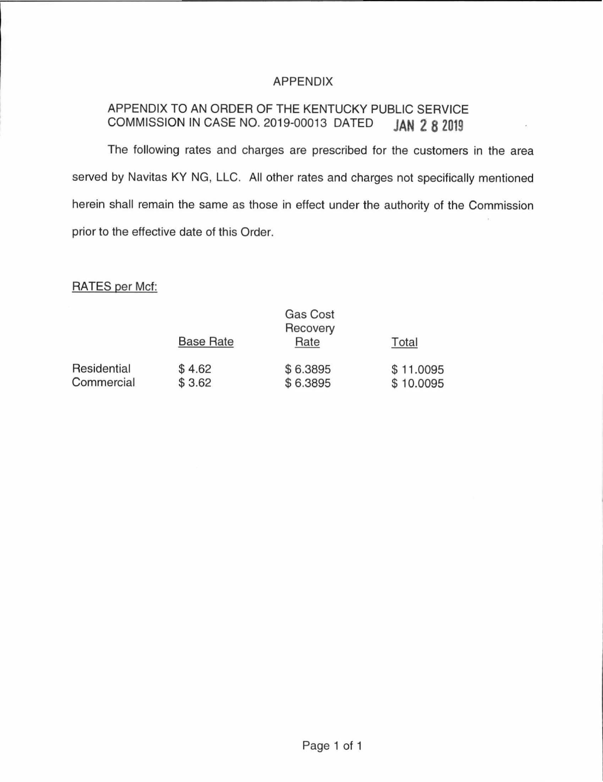# APPENDIX

# APPENDIX TO AN ORDER OF THE KENTUCKY PUBLIC SERVICE COMMISSION IN CASE NO. 2019-00013 DATED **JAN 2 8 2019**

The following rates and charges are prescribed for the customers in the area served by Navitas KY NG, LLC. All other rates and charges not specifically mentioned herein shall remain the same as those in effect under the authority of the Commission prior to the effective date of this Order.

RATES per Met:

|                           | <b>Gas Cost</b><br>Recovery |                      |                        |
|---------------------------|-----------------------------|----------------------|------------------------|
|                           | <b>Base Rate</b>            | Rate                 | Total                  |
| Residential<br>Commercial | \$4.62<br>\$3.62            | \$6.3895<br>\$6.3895 | \$11.0095<br>\$10.0095 |